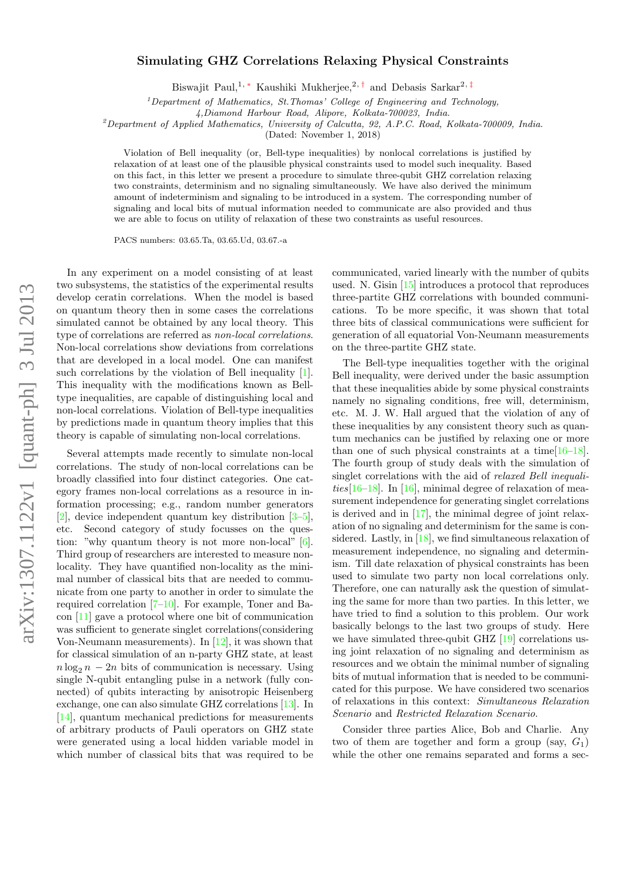## arXiv:1307.1122v1 [quant-ph] 3 Jul 2013 arXiv:1307.1122v1 [quant-ph] 3 Jul 2013

## Simulating GHZ Correlations Relaxing Physical Constraints

Biswajit Paul,<sup>1,\*</sup> Kaushiki Mukherjee,<sup>2,[†](#page-3-1)</sup> and Debasis Sarkar<sup>2,[‡](#page-3-2)</sup>

<sup>1</sup>Department of Mathematics, St. Thomas' College of Engineering and Technology,

4,Diamond Harbour Road, Alipore, Kolkata-700023, India.

<sup>2</sup>Department of Applied Mathematics, University of Calcutta, 92, A.P.C. Road, Kolkata-700009, India.

(Dated: November 1, 2018)

Violation of Bell inequality (or, Bell-type inequalities) by nonlocal correlations is justified by relaxation of at least one of the plausible physical constraints used to model such inequality. Based on this fact, in this letter we present a procedure to simulate three-qubit GHZ correlation relaxing two constraints, determinism and no signaling simultaneously. We have also derived the minimum amount of indeterminism and signaling to be introduced in a system. The corresponding number of signaling and local bits of mutual information needed to communicate are also provided and thus we are able to focus on utility of relaxation of these two constraints as useful resources.

PACS numbers: 03.65.Ta, 03.65.Ud, 03.67.-a

In any experiment on a model consisting of at least two subsystems, the statistics of the experimental results develop ceratin correlations. When the model is based on quantum theory then in some cases the correlations simulated cannot be obtained by any local theory. This type of correlations are referred as non-local correlations. Non-local correlations show deviations from correlations that are developed in a local model. One can manifest such correlations by the violation of Bell inequality [\[1\]](#page-3-3). This inequality with the modifications known as Belltype inequalities, are capable of distinguishing local and non-local correlations. Violation of Bell-type inequalities by predictions made in quantum theory implies that this theory is capable of simulating non-local correlations.

Several attempts made recently to simulate non-local correlations. The study of non-local correlations can be broadly classified into four distinct categories. One category frames non-local correlations as a resource in information processing; e.g., random number generators [\[2\]](#page-3-4), device independent quantum key distribution [\[3–](#page-3-5)[5\]](#page-3-6), etc. Second category of study focusses on the question: "why quantum theory is not more non-local" [\[6\]](#page-3-7). Third group of researchers are interested to measure nonlocality. They have quantified non-locality as the minimal number of classical bits that are needed to communicate from one party to another in order to simulate the required correlation [\[7–](#page-3-8)[10\]](#page-3-9). For example, Toner and Bacon [\[11\]](#page-3-10) gave a protocol where one bit of communication was sufficient to generate singlet correlations(considering Von-Neumann measurements). In [\[12\]](#page-3-11), it was shown that for classical simulation of an n-party GHZ state, at least  $n \log_2 n - 2n$  bits of communication is necessary. Using single N-qubit entangling pulse in a network (fully connected) of qubits interacting by anisotropic Heisenberg exchange, one can also simulate GHZ correlations [\[13\]](#page-3-12). In [\[14\]](#page-3-13), quantum mechanical predictions for measurements of arbitrary products of Pauli operators on GHZ state were generated using a local hidden variable model in which number of classical bits that was required to be communicated, varied linearly with the number of qubits used. N. Gisin [\[15\]](#page-3-14) introduces a protocol that reproduces three-partite GHZ correlations with bounded communications. To be more specific, it was shown that total three bits of classical communications were sufficient for generation of all equatorial Von-Neumann measurements on the three-partite GHZ state.

The Bell-type inequalities together with the original Bell inequality, were derived under the basic assumption that these inequalities abide by some physical constraints namely no signaling conditions, free will, determinism, etc. M. J. W. Hall argued that the violation of any of these inequalities by any consistent theory such as quantum mechanics can be justified by relaxing one or more than one of such physical constraints at a time $[16-18]$  $[16-18]$ . The fourth group of study deals with the simulation of singlet correlations with the aid of relaxed Bell inequali-ties [\[16–](#page-3-15)[18\]](#page-3-16). In [\[16\]](#page-3-15), minimal degree of relaxation of measurement independence for generating singlet correlations is derived and in [\[17\]](#page-3-17), the minimal degree of joint relaxation of no signaling and determinism for the same is considered. Lastly, in [\[18\]](#page-3-16), we find simultaneous relaxation of measurement independence, no signaling and determinism. Till date relaxation of physical constraints has been used to simulate two party non local correlations only. Therefore, one can naturally ask the question of simulating the same for more than two parties. In this letter, we have tried to find a solution to this problem. Our work basically belongs to the last two groups of study. Here we have simulated three-qubit GHZ [\[19\]](#page-3-18) correlations using joint relaxation of no signaling and determinism as resources and we obtain the minimal number of signaling bits of mutual information that is needed to be communicated for this purpose. We have considered two scenarios of relaxations in this context: Simultaneous Relaxation Scenario and Restricted Relaxation Scenario.

Consider three parties Alice, Bob and Charlie. Any two of them are together and form a group (say,  $G_1$ ) while the other one remains separated and forms a sec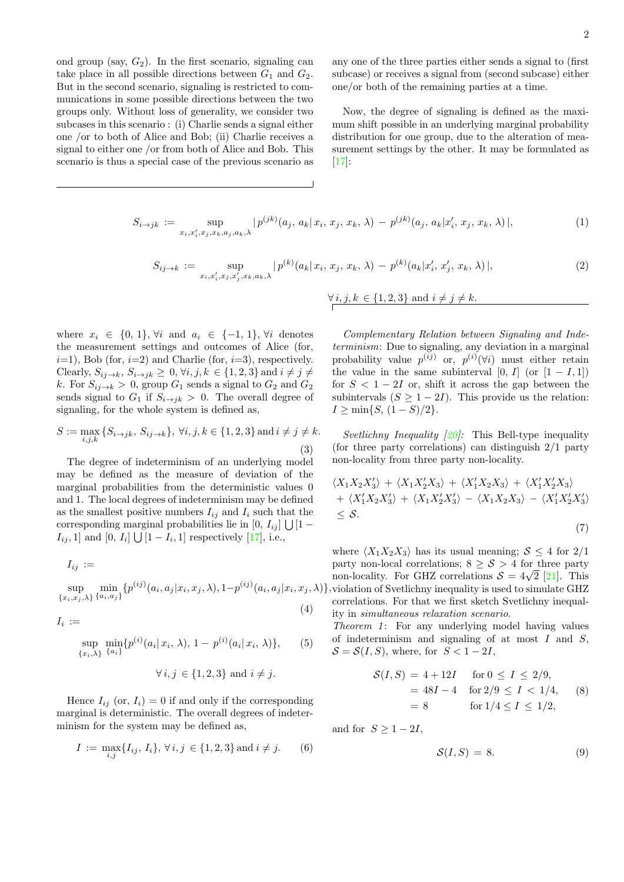ond group (say,  $G_2$ ). In the first scenario, signaling can take place in all possible directions between  $G_1$  and  $G_2$ . But in the second scenario, signaling is restricted to communications in some possible directions between the two groups only. Without loss of generality, we consider two subcases in this scenario : (i) Charlie sends a signal either one /or to both of Alice and Bob; (ii) Charlie receives a signal to either one /or from both of Alice and Bob. This scenario is thus a special case of the previous scenario as

any one of the three parties either sends a signal to (first subcase) or receives a signal from (second subcase) either one/or both of the remaining parties at a time.

Now, the degree of signaling is defined as the maximum shift possible in an underlying marginal probability distribution for one group, due to the alteration of measurement settings by the other. It may be formulated as [\[17\]](#page-3-17):

$$
S_{i \to jk} := \sup_{x_i, x'_i, x_j, x_k, a_j, a_k, \lambda} |p^{(jk)}(a_j, a_k | x_i, x_j, x_k, \lambda) - p^{(jk)}(a_j, a_k | x'_i, x_j, x_k, \lambda)|, \tag{1}
$$

$$
S_{ij \to k} := \sup_{x_i, x'_i, x_j, x'_j, x_k, a_k, \lambda} |p^{(k)}(a_k | x_i, x_j, x_k, \lambda) - p^{(k)}(a_k | x'_i, x'_j, x_k, \lambda)|,
$$
(2)

$$
\forall i, j, k \in \{1, 2, 3\} \text{ and } i \neq j \neq k.
$$

where  $x_i \in \{0, 1\}, \forall i$  and  $a_i \in \{-1, 1\}, \forall i$  denotes the measurement settings and outcomes of Alice (for,  $i=1$ , Bob (for,  $i=2$ ) and Charlie (for,  $i=3$ ), respectively. Clearly,  $S_{ij\rightarrow k}$ ,  $S_{i\rightarrow jk} \geq 0$ ,  $\forall i, j, k \in \{1, 2, 3\}$  and  $i \neq j \neq j$ k. For  $S_{ij\rightarrow k} > 0$ , group  $G_1$  sends a signal to  $G_2$  and  $G_2$ sends signal to  $G_1$  if  $S_{i\rightarrow jk} > 0$ . The overall degree of signaling, for the whole system is defined as,

$$
S := \max_{i,j,k} \{ S_{i \to jk}, \, S_{ij \to k} \}, \, \forall i, j, k \in \{1, 2, 3\} \text{ and } i \neq j \neq k.
$$
\n(3)

The degree of indeterminism of an underlying model may be defined as the measure of deviation of the marginal probabilities from the deterministic values 0 and 1. The local degrees of indeterminism may be defined as the smallest positive numbers  $I_{ij}$  and  $I_i$  such that the corresponding marginal probabilities lie in [0,  $I_{ij}$ ]  $\bigcup$  [1 –  $I_{ij}$ , 1] and [0,  $I_i$ ]  $\bigcup$  [1 –  $I_i$ , 1] respectively [\[17\]](#page-3-17), i.e.,

 $I_{ij}$  :=

$$
\sup_{\{x_i, x_j, \lambda\}} \min_{\{a_i, a_j\}} \{ p^{(ij)}(a_i, a_j | x_i, x_j, \lambda), 1 - p^{(ij)}(a_i, a_j | x_i, x_j, \lambda) \}
$$
\n(4)

$$
I_i\,:=\,\,
$$

$$
\sup_{\{x_i,\lambda\}} \min_{\{a_i\}} \{ p^{(i)}(a_i | x_i, \lambda), 1 - p^{(i)}(a_i | x_i, \lambda) \}, \qquad (5)
$$

$$
\forall i, j \in \{1, 2, 3\} \text{ and } i \neq j.
$$

Hence  $I_{ij}$  (or,  $I_i$ ) = 0 if and only if the corresponding marginal is deterministic. The overall degrees of indeterminism for the system may be defined as,

$$
I := \max_{i,j} \{ I_{ij}, I_i \}, \forall i, j \in \{1, 2, 3\} \text{ and } i \neq j. \tag{6}
$$

Complementary Relation between Signaling and Indeterminism: Due to signaling, any deviation in a marginal probability value  $p^{(ij)}$  or,  $p^{(i)}(\forall i)$  must either retain the value in the same subinterval [0, I] (or  $[1 - I, 1]$ ) for  $S < 1-2I$  or, shift it across the gap between the subintervals  $(S \geq 1 - 2I)$ . This provide us the relation:  $I \ge \min\{S, (1-S)/2\}.$ 

Svetlichny Inequality  $[20]$ : This Bell-type inequality (for three party correlations) can distinguish 2/1 party non-locality from three party non-locality.

<span id="page-1-2"></span>
$$
\langle X_1 X_2 X_3' \rangle + \langle X_1 X_2' X_3 \rangle + \langle X_1' X_2 X_3 \rangle + \langle X_1' X_2' X_3 \rangle
$$
  
+ 
$$
\langle X_1' X_2 X_3' \rangle + \langle X_1 X_2' X_3' \rangle - \langle X_1 X_2 X_3 \rangle - \langle X_1' X_2' X_3' \rangle
$$
  

$$
\leq S.
$$
 (7)

 $(x_j, \lambda)$ , violation of Svetlichny inequality is used to simulate GHZ where  $\langle X_1 X_2 X_3 \rangle$  has its usual meaning;  $S \leq 4$  for 2/1 party non-local correlations;  $8 \geq S > 4$  for three party party non-local correlations;  $\delta \geq \delta > 4$  for three party<br>non-locality. For GHZ correlations  $S = 4\sqrt{2}$  [\[21\]](#page-3-20). This correlations. For that we first sketch Svetlichny inequality in simultaneous relaxation scenario.

> *Theorem 1*: For any underlying model having values of indeterminism and signaling of at most  $I$  and  $S$ ,  $S = \mathcal{S}(I, S)$ , where, for  $S < 1 - 2I$ ,

$$
\begin{aligned} \mathcal{S}(I, S) &= 4 + 12I \quad \text{for } 0 \le I \le 2/9, \\ &= 48I - 4 \quad \text{for } 2/9 \le I < 1/4, \end{aligned} \tag{8}
$$
\n
$$
= 8 \quad \text{for } 1/4 \le I \le 1/2,
$$

<span id="page-1-0"></span>and for  $S \geq 1 - 2I$ ,

<span id="page-1-1"></span>
$$
\mathcal{S}(I,S) = 8.\t(9)
$$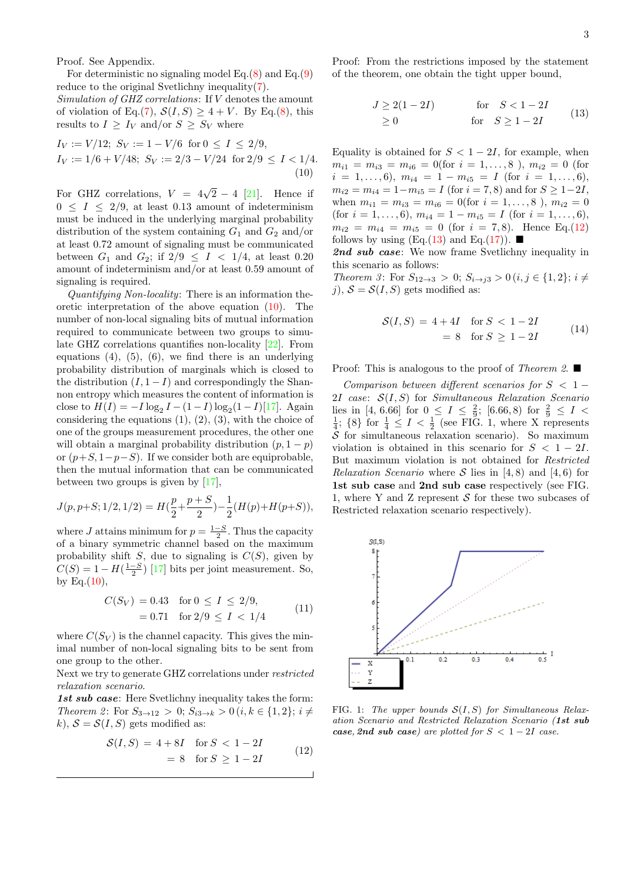3

Proof. See Appendix.

For deterministic no signaling model Eq. $(8)$  and Eq. $(9)$ reduce to the original Svetlichny inequality[\(7\)](#page-1-2).

Simulation of GHZ correlations: If V denotes the amount of violation of Eq.[\(7\)](#page-1-2),  $S(I, S) \geq 4 + V$ . By Eq.[\(8\)](#page-1-0), this results to  $I \geq I_V$  and/or  $S \geq S_V$  where

<span id="page-2-0"></span>
$$
I_V := V/12; \ S_V := 1 - V/6 \text{ for } 0 \le I \le 2/9,
$$
  
\n
$$
I_V := 1/6 + V/48; \ S_V := 2/3 - V/24 \text{ for } 2/9 \le I < 1/4.
$$
\n
$$
(10)
$$

For GHZ correlations,  $V = 4\sqrt{2} - 4$  [\[21\]](#page-3-20). Hence if  $0 \leq I \leq 2/9$ , at least 0.13 amount of indeterminism must be induced in the underlying marginal probability distribution of the system containing  $G_1$  and  $G_2$  and/or at least 0.72 amount of signaling must be communicated between  $G_1$  and  $G_2$ ; if  $2/9 \leq I \leq 1/4$ , at least 0.20 amount of indeterminism and/or at least 0.59 amount of signaling is required.

Quantifying Non-locality: There is an information theoretic interpretation of the above equation [\(10\)](#page-2-0). The number of non-local signaling bits of mutual information required to communicate between two groups to simulate GHZ correlations quantifies non-locality [\[22\]](#page-3-21). From equations  $(4)$ ,  $(5)$ ,  $(6)$ , we find there is an underlying probability distribution of marginals which is closed to the distribution  $(I, 1 - I)$  and correspondingly the Shannon entropy which measures the content of information is close to  $H(I) = -I \log_2 I - (1 - I) \log_2 (1 - I) [17]$  $H(I) = -I \log_2 I - (1 - I) \log_2 (1 - I) [17]$ . Again considering the equations  $(1), (2), (3)$ , with the choice of one of the groups measurement procedures, the other one will obtain a marginal probability distribution  $(p, 1-p)$ or  $(p+S, 1-p-S)$ . If we consider both are equiprobable, then the mutual information that can be communicated between two groups is given by [\[17\]](#page-3-17),

$$
J(p, p+S; 1/2, 1/2) = H(\frac{p}{2} + \frac{p+S}{2}) - \frac{1}{2}(H(p) + H(p+S)),
$$

where J attains minimum for  $p = \frac{1-S}{2}$ . Thus the capacity of a binary symmetric channel based on the maximum probability shift  $S$ , due to signaling is  $C(S)$ , given by  $C(S) = 1 - H(\frac{1-S}{2})$  [\[17\]](#page-3-17) bits per joint measurement. So, by Eq. $(10)$ ,

$$
C(S_V) = 0.43 \quad \text{for } 0 \le I \le 2/9,
$$
  
= 0.71 \quad \text{for } 2/9 \le I < 1/4 \tag{11}

where  $C(S_V)$  is the channel capacity. This gives the minimal number of non-local signaling bits to be sent from one group to the other.

Next we try to generate GHZ correlations under restricted relaxation scenario.

<span id="page-2-1"></span>1st sub case: Here Svetlichny inequality takes the form: Theorem 2: For  $S_{3\to 12} > 0$ ;  $S_{i3\to k} > 0$   $(i, k \in \{1, 2\}; i \neq 1)$ k),  $S = S(I, S)$  gets modified as:

$$
\mathcal{S}(I, S) = 4 + 8I \quad \text{for } S < 1 - 2I
$$
\n
$$
= 8 \quad \text{for } S \ge 1 - 2I \tag{12}
$$

Proof: From the restrictions imposed by the statement of the theorem, one obtain the tight upper bound,

<span id="page-2-2"></span>
$$
J \ge 2(1 - 2I)
$$
 for  $S < 1 - 2I$   
\n $\ge 0$  for  $S \ge 1 - 2I$  (13)

Equality is obtained for  $S < 1 - 2I$ , for example, when  $m_{i1} = m_{i3} = m_{i6} = 0$  (for  $i = 1, ..., 8$ ),  $m_{i2} = 0$  (for  $i = 1, \ldots, 6$ ,  $m_{i4} = 1 - m_{i5} = I$  (for  $i = 1, \ldots, 6$ ),  $m_{i2} = m_{i4} = 1 - m_{i5} = I$  (for  $i = 7, 8$ ) and for  $S \ge 1 - 2I$ , when  $m_{i1} = m_{i3} = m_{i6} = 0$  (for  $i = 1, ..., 8$ ),  $m_{i2} = 0$ (for  $i = 1, \ldots, 6$ ),  $m_{i4} = 1 - m_{i5} = I$  (for  $i = 1, \ldots, 6$ ),  $m_{i2} = m_{i4} = m_{i5} = 0$  (for  $i = 7, 8$ ). Hence Eq.[\(12\)](#page-2-1) follows by using  $(Eq.(13)$  $(Eq.(13)$  and  $Eq.(17))$  $Eq.(17))$  $Eq.(17))$ .

2nd sub case: We now frame Svetlichny inequality in this scenario as follows:

Theorem 3: For  $S_{12\to 3} > 0$ ;  $S_{i\to j3} > 0$   $(i, j \in \{1, 2\}; i \neq j)$ j),  $S = S(I, S)$  gets modified as:

$$
S(I, S) = 4 + 4I \quad \text{for } S < 1 - 2I
$$
\n
$$
= 8 \quad \text{for } S \ge 1 - 2I \tag{14}
$$

Proof: This is analogous to the proof of Theorem 2.

Comparison between different scenarios for  $S < 1 -$ 2I case:  $S(I, S)$  for Simultaneous Relaxation Scenario lies in [4, 6.66] for  $0 \le I \le \frac{2}{9}$ ; [6.66, 8) for  $\frac{2}{9} \le I < \frac{1}{4}$ ; {8} for  $\frac{1}{4} \le I < \frac{1}{2}$  (see FIG. 1, where X represents  $S$  for simultaneous relaxation scenario). So maximum violation is obtained in this scenario for  $S < 1 - 2I$ . But maximum violation is not obtained for Restricted *Relaxation Scenario* where S lies in [4, 8) and [4, 6) for 1st sub case and 2nd sub case respectively (see FIG. 1, where Y and Z represent  $S$  for these two subcases of Restricted relaxation scenario respectively).



FIG. 1: The upper bounds  $S(I, S)$  for Simultaneous Relaxation Scenario and Restricted Relaxation Scenario (1st sub case, 2nd sub case) are plotted for  $S < 1-2I$  case.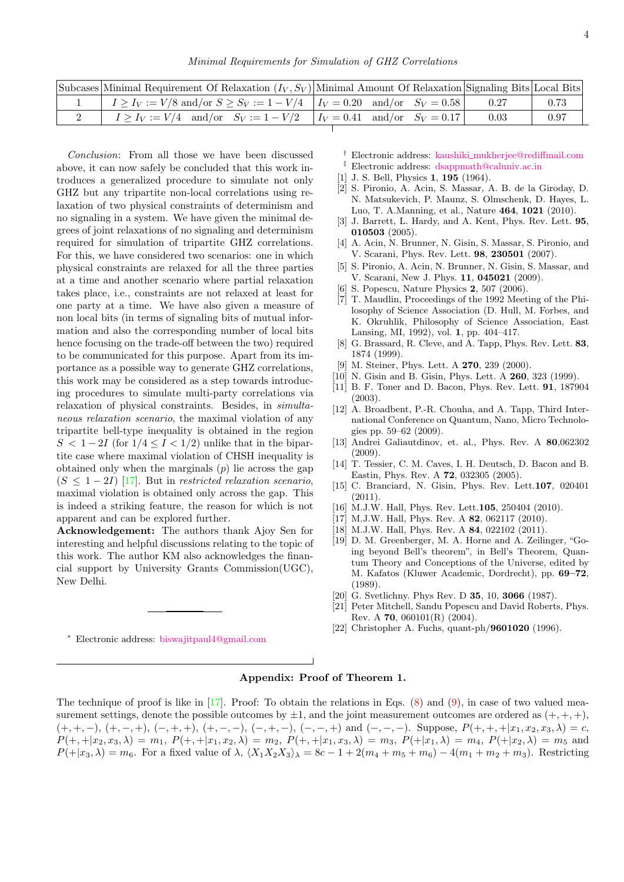Minimal Requirements for Simulation of GHZ Correlations

| $I \ge I_V := V/8$ and/or $S \ge S_V := 1 - V/4$ $ I_V = 0.20$ and/or $S_V = 0.58$<br>0.73<br>0.27<br>$I \ge I_V := V/4$ and/or $S_V := 1 - V/2$ $ I_V = 0.41$ and/or $S_V = 0.17$<br>0.97<br>0.03<br>$\mathbf{z}$ | Subcases Minimal Requirement Of Relaxation $(I_V, S_V)$ Minimal Amount Of Relaxation Signaling Bits Local Bits |  |  |  |
|--------------------------------------------------------------------------------------------------------------------------------------------------------------------------------------------------------------------|----------------------------------------------------------------------------------------------------------------|--|--|--|
|                                                                                                                                                                                                                    |                                                                                                                |  |  |  |
|                                                                                                                                                                                                                    |                                                                                                                |  |  |  |

Conclusion: From all those we have been discussed above, it can now safely be concluded that this work introduces a generalized procedure to simulate not only GHZ but any tripartite non-local correlations using relaxation of two physical constraints of determinism and no signaling in a system. We have given the minimal degrees of joint relaxations of no signaling and determinism required for simulation of tripartite GHZ correlations. For this, we have considered two scenarios: one in which physical constraints are relaxed for all the three parties at a time and another scenario where partial relaxation takes place, i.e., constraints are not relaxed at least for one party at a time. We have also given a measure of non local bits (in terms of signaling bits of mutual information and also the corresponding number of local bits hence focusing on the trade-off between the two) required to be communicated for this purpose. Apart from its importance as a possible way to generate GHZ correlations, this work may be considered as a step towards introducing procedures to simulate multi-party correlations via relaxation of physical constraints. Besides, in simultaneous relaxation scenario, the maximal violation of any tripartite bell-type inequality is obtained in the region  $S < 1-2I$  (for  $1/4 < I < 1/2$ ) unlike that in the bipartite case where maximal violation of CHSH inequality is obtained only when the marginals  $(p)$  lie across the gap  $(S \leq 1-2I)$  [\[17\]](#page-3-17). But in restricted relaxation scenario, maximal violation is obtained only across the gap. This is indeed a striking feature, the reason for which is not apparent and can be explored further.

Acknowledgement: The authors thank Ajoy Sen for interesting and helpful discussions relating to the topic of this work. The author KM also acknowledges the financial support by University Grants Commission(UGC), New Delhi.

- <span id="page-3-1"></span>† Electronic address: kaushiki [mukherjee@rediffmail.com](mailto:kaushiki_mukherjee@rediffmail.com)
- <span id="page-3-2"></span>‡ Electronic address: [dsappmath@caluniv.ac.in](mailto:dsappmath@caluniv.ac.in)
- <span id="page-3-3"></span>[1] J. S. Bell, Physics **1, 195** (1964).
- <span id="page-3-4"></span>[2] S. Pironio, A. Acin, S. Massar, A. B. de la Giroday, D. N. Matsukevich, P. Maunz, S. Olmschenk, D. Hayes, L. Luo, T. A.Manning, et al., Nature 464, 1021 (2010).
- <span id="page-3-5"></span>[3] J. Barrett, L. Hardy, and A. Kent, Phys. Rev. Lett. 95, 010503 (2005).
- [4] A. Acin, N. Brunner, N. Gisin, S. Massar, S. Pironio, and V. Scarani, Phys. Rev. Lett. 98, 230501 (2007).
- <span id="page-3-6"></span>[5] S. Pironio, A. Acin, N. Brunner, N. Gisin, S. Massar, and V. Scarani, New J. Phys. 11, 045021 (2009).
- <span id="page-3-7"></span>[6] S. Popescu, Nature Physics 2, 507 (2006).
- <span id="page-3-8"></span>[7] T. Maudlin, Proceedings of the 1992 Meeting of the Philosophy of Science Association (D. Hull, M. Forbes, and K. Okruhlik, Philosophy of Science Association, East Lansing, MI, 1992), vol. 1, pp. 404–417.
- [8] G. Brassard, R. Cleve, and A. Tapp, Phys. Rev. Lett. 83, 1874 (1999).
- [9] M. Steiner, Phys. Lett. A **270**, 239 (2000).
- <span id="page-3-9"></span>[10] N. Gisin and B. Gisin, Phys. Lett. A **260**, 323 (1999).
- <span id="page-3-10"></span>[11] B. F. Toner and D. Bacon, Phys. Rev. Lett. 91, 187904 (2003).
- <span id="page-3-11"></span>[12] A. Broadbent, P.-R. Chouha, and A. Tapp, Third International Conference on Quantum, Nano, Micro Technologies pp. 59–62 (2009).
- <span id="page-3-12"></span>[13] Andrei Galiautdinov, et. al., Phys. Rev. A 80,062302 (2009).
- <span id="page-3-13"></span>[14] T. Tessier, C. M. Caves, I. H. Deutsch, D. Bacon and B. Eastin, Phys. Rev. A 72, 032305 (2005).
- <span id="page-3-14"></span>[15] C. Branciard, N. Gisin, Phys. Rev. Lett.107, 020401 (2011).
- <span id="page-3-15"></span>[16] M.J.W. Hall, Phys. Rev. Lett. **105**, 250404 (2010).
- <span id="page-3-17"></span>[17] M.J.W. Hall, Phys. Rev. A **82**, 062117 (2010).
- <span id="page-3-16"></span>[18] M.J.W. Hall, Phys. Rev. A **84**, 022102 (2011).
- <span id="page-3-18"></span>[19] D. M. Greenberger, M. A. Horne and A. Zeilinger, "Going beyond Bell's theorem", in Bell's Theorem, Quantum Theory and Conceptions of the Universe, edited by M. Kafatos (Kluwer Academic, Dordrecht), pp. 69–72, (1989).
- <span id="page-3-19"></span>[20] G. Svetlichny. Phys Rev. D 35, 10, 3066 (1987).
- <span id="page-3-20"></span>[21] Peter Mitchell, Sandu Popescu and David Roberts, Phys. Rev. A 70, 060101(R) (2004).
- <span id="page-3-21"></span>[22] Christopher A. Fuchs, quant-ph/9601020 (1996).

## <span id="page-3-0"></span><sup>∗</sup> Electronic address: [biswajitpaul4@gmail.com](mailto:biswajitpaul4@gmail.com)

## Appendix: Proof of Theorem 1.

The technique of proof is like in  $[17]$ . Proof: To obtain the relations in Eqs.  $(8)$  and  $(9)$ , in case of two valued measurement settings, denote the possible outcomes by  $\pm 1$ , and the joint measurement outcomes are ordered as  $(+, +, +)$ ,  $(+, +, -), (+, -, +), (-, +, +), (+, -, -), (-, +, -), (-, -, +)$  and  $(-, -, -)$ . Suppose,  $P(+, +, +|x_1, x_2, x_3, \lambda) = c$ ,  $P(+, +|x_2, x_3, \lambda) = m_1, P(+, +|x_1, x_2, \lambda) = m_2, P(+, +|x_1, x_3, \lambda) = m_3, P(+|x_1, \lambda) = m_4, P(+|x_2, \lambda) = m_5$  and  $P(+|x_3, \lambda) = m_6$ . For a fixed value of  $\lambda$ ,  $\langle X_1 X_2 X_3 \rangle_{\lambda} = 8c - 1 + 2(m_4 + m_5 + m_6) - 4(m_1 + m_2 + m_3)$ . Restricting